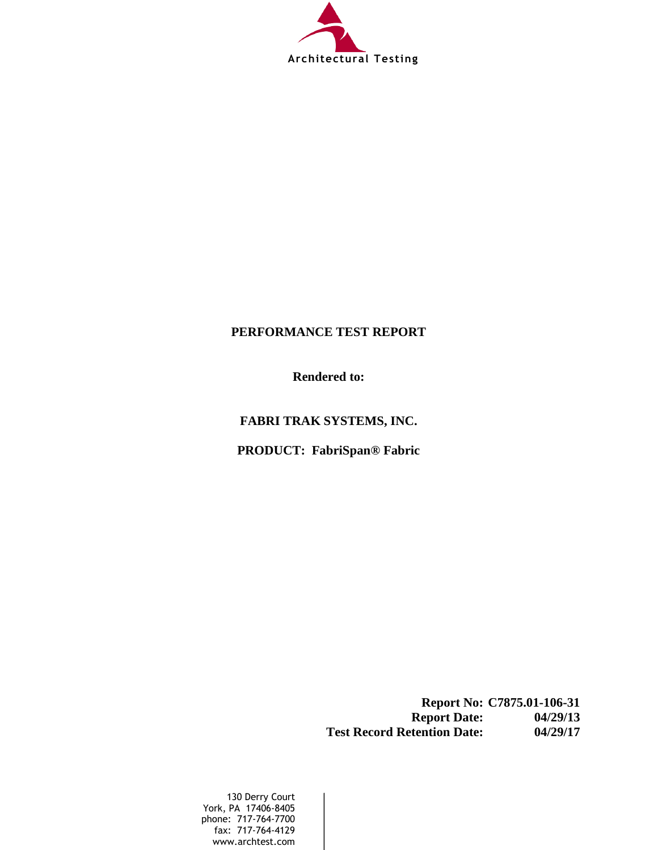

### **PERFORMANCE TEST REPORT**

**Rendered to:**

**FABRI TRAK SYSTEMS, INC.**

**PRODUCT: FabriSpan® Fabric**

**Report No: C7875.01-106-31 Report Date: 04/29/13 Test Record Retention Date: 04/29/17** 

130 Derry Court York, PA 17406-8405 phone: 717-764-7700 fax: 717-764-4129 www.archtest.com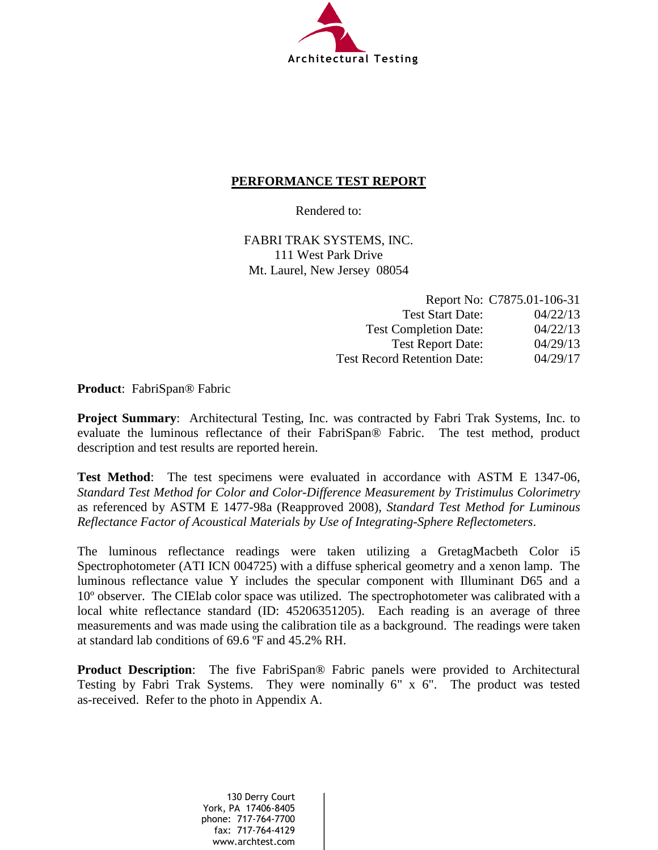

#### **PERFORMANCE TEST REPORT**

Rendered to:

FABRI TRAK SYSTEMS, INC. 111 West Park Drive Mt. Laurel, New Jersey 08054

|                                    | Report No: C7875.01-106-31 |
|------------------------------------|----------------------------|
| <b>Test Start Date:</b>            | 04/22/13                   |
| <b>Test Completion Date:</b>       | 04/22/13                   |
| <b>Test Report Date:</b>           | 04/29/13                   |
| <b>Test Record Retention Date:</b> | 04/29/17                   |

**Product**: FabriSpan® Fabric

**Project Summary**: Architectural Testing, Inc. was contracted by Fabri Trak Systems, Inc. to evaluate the luminous reflectance of their FabriSpan® Fabric. The test method, product description and test results are reported herein.

**Test Method**: The test specimens were evaluated in accordance with ASTM E 1347-06, *Standard Test Method for Color and Color-Difference Measurement by Tristimulus Colorimetry* as referenced by ASTM E 1477-98a (Reapproved 2008), *Standard Test Method for Luminous Reflectance Factor of Acoustical Materials by Use of Integrating-Sphere Reflectometers*.

The luminous reflectance readings were taken utilizing a GretagMacbeth Color i5 Spectrophotometer (ATI ICN 004725) with a diffuse spherical geometry and a xenon lamp. The luminous reflectance value Y includes the specular component with Illuminant D65 and a 10º observer. The CIElab color space was utilized. The spectrophotometer was calibrated with a local white reflectance standard (ID: 45206351205). Each reading is an average of three measurements and was made using the calibration tile as a background. The readings were taken at standard lab conditions of 69.6 ºF and 45.2% RH.

**Product Description**:The five FabriSpan® Fabric panels were provided to Architectural Testing by Fabri Trak Systems. They were nominally 6" x 6". The product was tested as-received. Refer to the photo in Appendix A.

> 130 Derry Court York, PA 17406-8405 phone: 717-764-7700 fax: 717-764-4129 www.archtest.com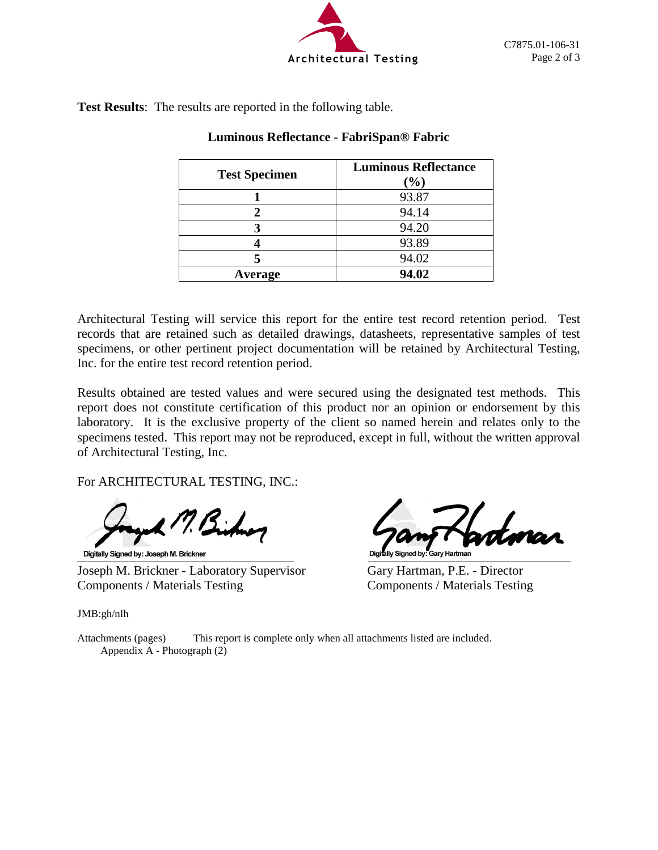

**Test Results**: The results are reported in the following table.

| <b>Test Specimen</b> | <b>Luminous Reflectance</b><br>$(\%)$ |
|----------------------|---------------------------------------|
|                      | 93.87                                 |
|                      | 94.14                                 |
|                      | 94.20                                 |
|                      | 93.89                                 |
|                      | 94.02                                 |
| Average              | 94.02                                 |

#### **Luminous Reflectance - FabriSpan® Fabric**

Architectural Testing will service this report for the entire test record retention period. Test records that are retained such as detailed drawings, datasheets, representative samples of test specimens, or other pertinent project documentation will be retained by Architectural Testing, Inc. for the entire test record retention period.

Results obtained are tested values and were secured using the designated test methods. This report does not constitute certification of this product nor an opinion or endorsement by this laboratory. It is the exclusive property of the client so named herein and relates only to the specimens tested. This report may not be reproduced, except in full, without the written approval of Architectural Testing, Inc.

For ARCHITECTURAL TESTING, INC.:

Digitally Signed by: Joseph M. Brickner

Joseph M. Brickner - Laboratory Supervisor Gary Hartman, P.E. - Director Components / Materials Testing Components / Materials Testing

Digitally Signed by: Gary Hartman

JMB:gh/nlh

Attachments (pages) This report is complete only when all attachments listed are included. Appendix A - Photograph (2)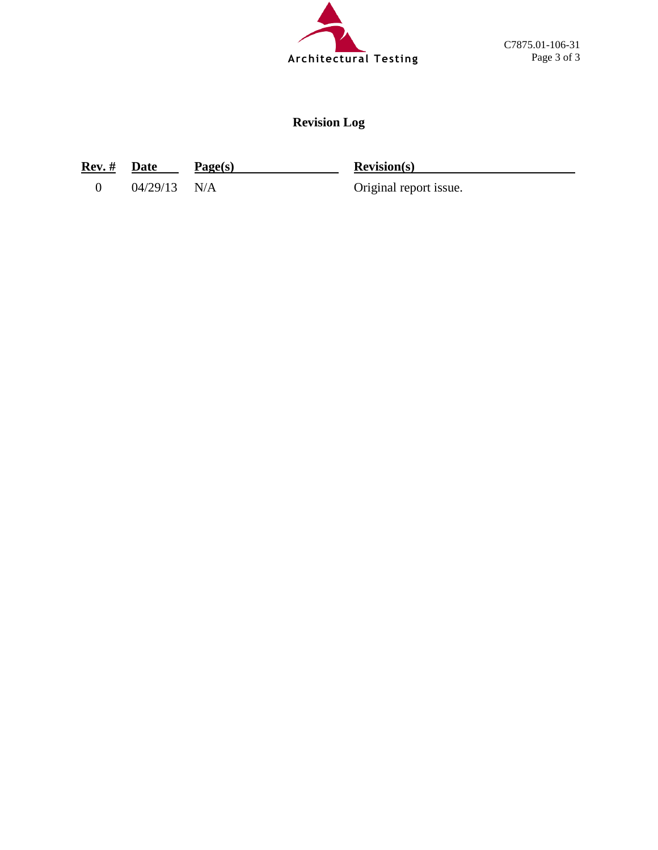

# **Revision Log**

**Rev. # Date Page(s) Revision(s)** 

0 04/29/13 N/A Original report issue.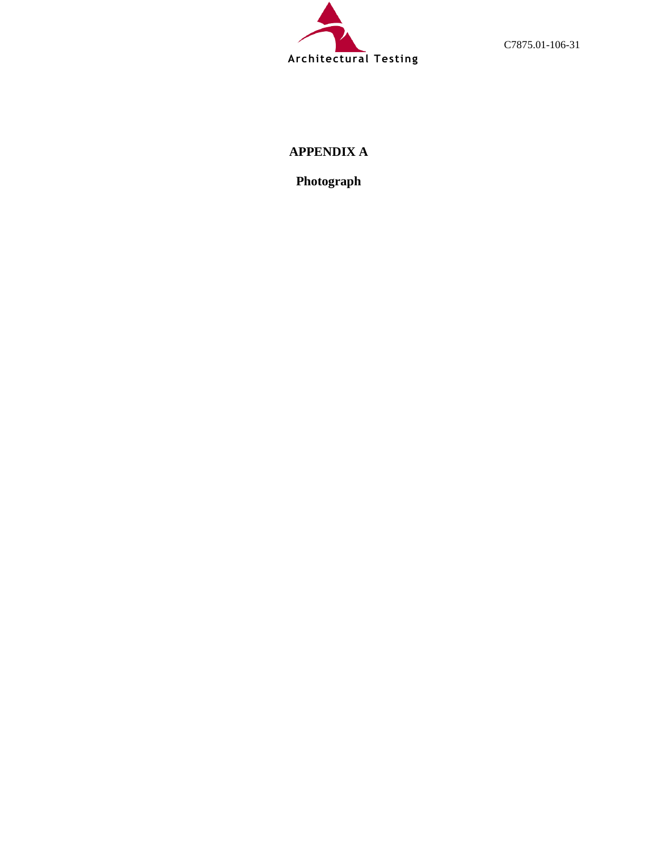

C7875.01-106-31

## **APPENDIX A**

**Photograph**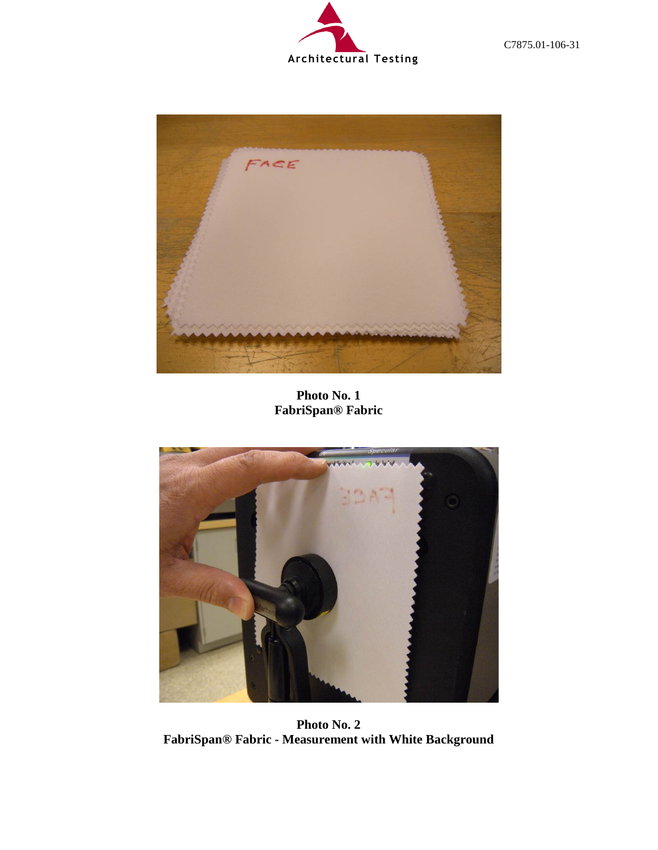



**Photo No. 1 FabriSpan® Fabric**



**Photo No. 2 FabriSpan® Fabric - Measurement with White Background**